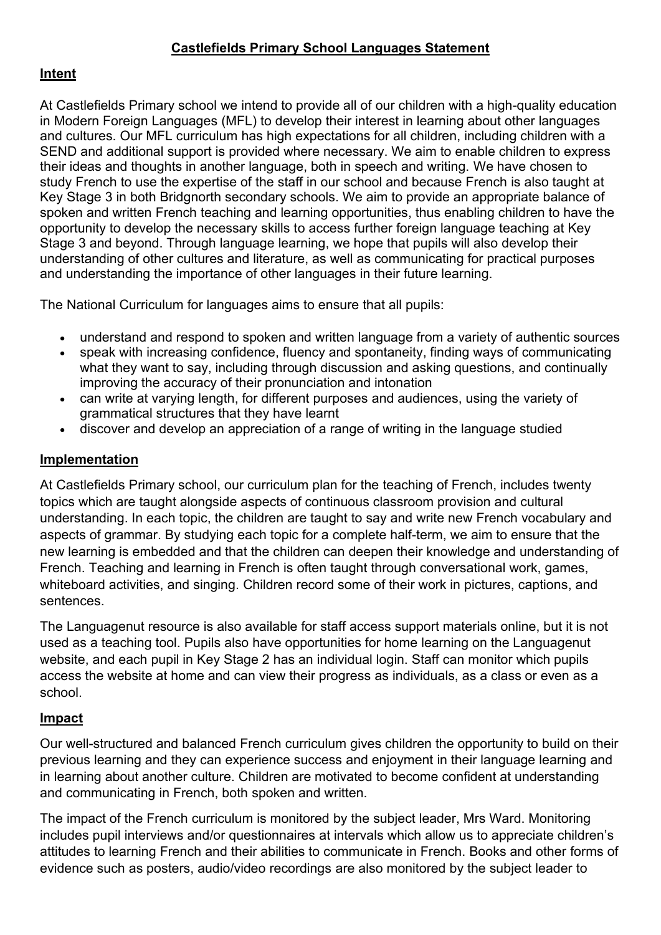## **Intent**

At Castlefields Primary school we intend to provide all of our children with a high-quality education in Modern Foreign Languages (MFL) to develop their interest in learning about other languages and cultures. Our MFL curriculum has high expectations for all children, including children with a SEND and additional support is provided where necessary. We aim to enable children to express their ideas and thoughts in another language, both in speech and writing. We have chosen to study French to use the expertise of the staff in our school and because French is also taught at Key Stage 3 in both Bridgnorth secondary schools. We aim to provide an appropriate balance of spoken and written French teaching and learning opportunities, thus enabling children to have the opportunity to develop the necessary skills to access further foreign language teaching at Key Stage 3 and beyond. Through language learning, we hope that pupils will also develop their understanding of other cultures and literature, as well as communicating for practical purposes and understanding the importance of other languages in their future learning.

The National Curriculum for languages aims to ensure that all pupils:

- understand and respond to spoken and written language from a variety of authentic sources
- speak with increasing confidence, fluency and spontaneity, finding ways of communicating what they want to say, including through discussion and asking questions, and continually improving the accuracy of their pronunciation and intonation
- can write at varying length, for different purposes and audiences, using the variety of grammatical structures that they have learnt
- discover and develop an appreciation of a range of writing in the language studied

## **Implementation**

At Castlefields Primary school, our curriculum plan for the teaching of French, includes twenty topics which are taught alongside aspects of continuous classroom provision and cultural understanding. In each topic, the children are taught to say and write new French vocabulary and aspects of grammar. By studying each topic for a complete half-term, we aim to ensure that the new learning is embedded and that the children can deepen their knowledge and understanding of French. Teaching and learning in French is often taught through conversational work, games, whiteboard activities, and singing. Children record some of their work in pictures, captions, and sentences.

The Languagenut resource is also available for staff access support materials online, but it is not used as a teaching tool. Pupils also have opportunities for home learning on the Languagenut website, and each pupil in Key Stage 2 has an individual login. Staff can monitor which pupils access the website at home and can view their progress as individuals, as a class or even as a school.

## **Impact**

Our well-structured and balanced French curriculum gives children the opportunity to build on their previous learning and they can experience success and enjoyment in their language learning and in learning about another culture. Children are motivated to become confident at understanding and communicating in French, both spoken and written.

The impact of the French curriculum is monitored by the subject leader, Mrs Ward. Monitoring includes pupil interviews and/or questionnaires at intervals which allow us to appreciate children's attitudes to learning French and their abilities to communicate in French. Books and other forms of evidence such as posters, audio/video recordings are also monitored by the subject leader to